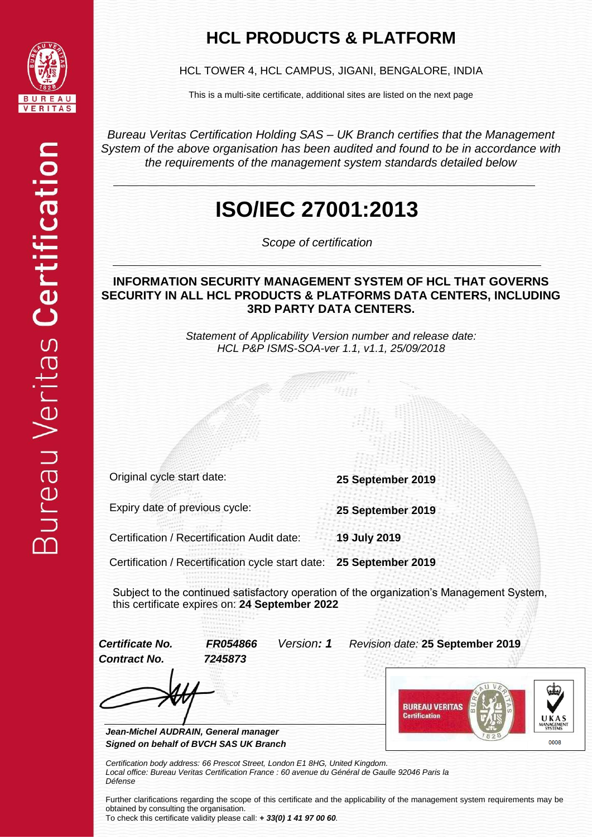

### **HCL PRODUCTS & PLATFORM**

HCL TOWER 4, HCL CAMPUS, JIGANI, BENGALORE, INDIA

This is a multi-site certificate, additional sites are listed on the next page

*Bureau Veritas Certification Holding SAS – UK Branch certifies that the Management System of the above organisation has been audited and found to be in accordance with the requirements of the management system standards detailed below*

## **ISO/IEC 27001:2013**

*Scope of certification*

#### **INFORMATION SECURITY MANAGEMENT SYSTEM OF HCL THAT GOVERNS SECURITY IN ALL HCL PRODUCTS & PLATFORMS DATA CENTERS, INCLUDING 3RD PARTY DATA CENTERS.**

*Statement of Applicability Version number and release date: HCL P&P ISMS-SOA-ver 1.1, v1.1, 25/09/2018*

Original cycle start date: **25 September 2019**

Expiry date of previous cycle: **25 September 2019**

Certification / Recertification Audit date: **19 July 2019**

Certification / Recertification cycle start date: **25 September 2019**

Subject to the continued satisfactory operation of the organization's Management System, this certificate expires on: **24 September 2022**

*Contract No. 7245873*

*Certificate No. FR054866 Version: 1 Revision date:* **25 September 2019**

*Jean-Michel AUDRAIN, General manager Signed on behalf of BVCH SAS UK Branch*



*Certification body address: 66 Prescot Street, London E1 8HG, United Kingdom.*

*Local office: Bureau Veritas Certification France : 60 avenue du Général de Gaulle 92046 Paris la Défense*

Further clarifications regarding the scope of this certificate and the applicability of the management system requirements may be obtained by consulting the organisation. To check this certificate validity please call: *+ 33(0) 1 41 97 00 60.*